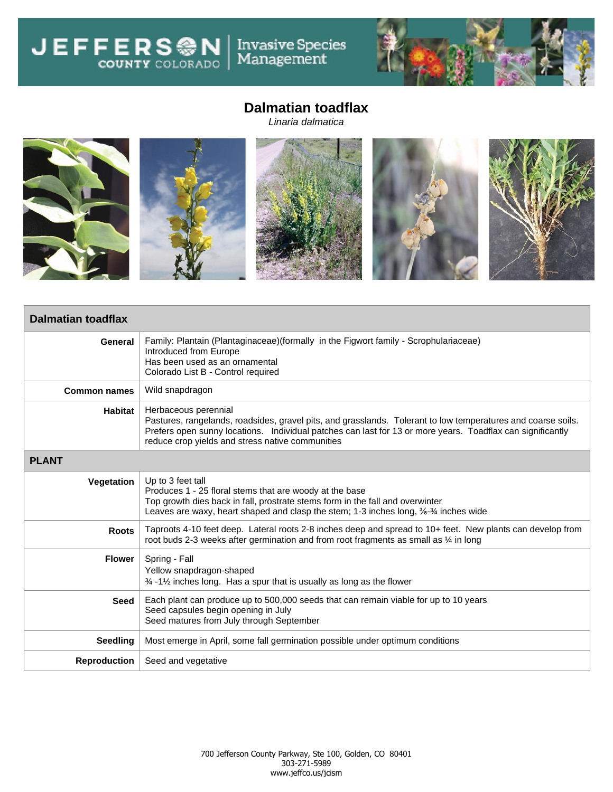JEFFERS<sup>ON</sup> Invasive Species<br>Management



## **Dalmatian toadflax**

*Linaria dalmatica*



| <b>Dalmatian toadflax</b> |                                                                                                                                                                                                                                                                                                        |  |  |  |
|---------------------------|--------------------------------------------------------------------------------------------------------------------------------------------------------------------------------------------------------------------------------------------------------------------------------------------------------|--|--|--|
| General                   | Family: Plantain (Plantaginaceae) (formally in the Figwort family - Scrophulariaceae)<br>Introduced from Europe<br>Has been used as an ornamental<br>Colorado List B - Control required                                                                                                                |  |  |  |
| <b>Common names</b>       | Wild snapdragon                                                                                                                                                                                                                                                                                        |  |  |  |
| Habitat                   | Herbaceous perennial<br>Pastures, rangelands, roadsides, gravel pits, and grasslands. Tolerant to low temperatures and coarse soils.<br>Prefers open sunny locations. Individual patches can last for 13 or more years. Toadflax can significantly<br>reduce crop yields and stress native communities |  |  |  |
| <b>PLANT</b>              |                                                                                                                                                                                                                                                                                                        |  |  |  |
| Vegetation                | Up to 3 feet tall<br>Produces 1 - 25 floral stems that are woody at the base<br>Top growth dies back in fall, prostrate stems form in the fall and overwinter<br>Leaves are waxy, heart shaped and clasp the stem; 1-3 inches long, 3/8-3/4 inches wide                                                |  |  |  |
| <b>Roots</b>              | Taproots 4-10 feet deep. Lateral roots 2-8 inches deep and spread to 10+ feet. New plants can develop from<br>root buds 2-3 weeks after germination and from root fragments as small as % in long                                                                                                      |  |  |  |
| <b>Flower</b>             | Spring - Fall<br>Yellow snapdragon-shaped<br>$\frac{3}{4}$ -1% inches long. Has a spur that is usually as long as the flower                                                                                                                                                                           |  |  |  |
| <b>Seed</b>               | Each plant can produce up to 500,000 seeds that can remain viable for up to 10 years<br>Seed capsules begin opening in July<br>Seed matures from July through September                                                                                                                                |  |  |  |
| <b>Seedling</b>           | Most emerge in April, some fall germination possible under optimum conditions                                                                                                                                                                                                                          |  |  |  |
| <b>Reproduction</b>       | Seed and vegetative                                                                                                                                                                                                                                                                                    |  |  |  |